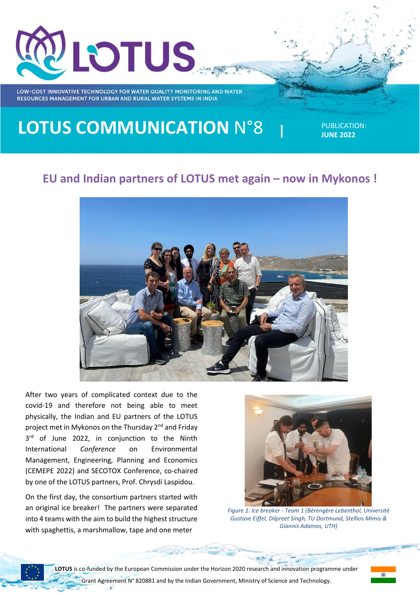

# **LOTUS COMMUNICATION** N°8

PUBLICATION: **JUNE 2022**

## **EU and Indian partners of LOTUS met again – now in Mykonos !**



After two years of complicated context due to the covid-19 and therefore not being able to meet physically, the Indian and EU partners of the LOTUS project met in Mykonos on the Thursday 2<sup>nd</sup> and Friday 3<sup>rd</sup> of June 2022, in conjunction to the Ninth International *Conference* on Environmental Management, Engineering, Planning and Economics (CEMEPE 2022) and SECOTOX Conference, co-chaired by one of the LOTUS partners, Prof. Chrysdi Laspidou.

On the first day, the consortium partners started with an original ice breaker! The partners were separated into 4 teams with the aim to build the highest structure with spaghettis, a marshmallow, tape and one meter



*Figure 1: Ice breaker - Team 1 (Bérengère Lebenthal, Université Gustave Eiffel, Dilpreet Singh, TU Dortmund, Stellios Mimis & Giannis Adamos, UTH)*

1

**LOTUS** is co-funded by the European Commission under the Horizon 2020 research and innovation programme under Grant Agreement N° 820881 and by the Indian Government, Ministry of Science and Technology.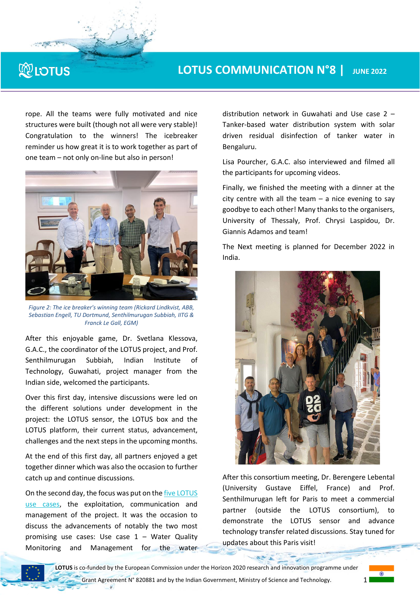#### **LOTUS COMMUNICATION N°8 | JUNE 2022**

rope. All the teams were fully motivated and nice structures were built (though not all were very stable)! Congratulation to the winners! The icebreaker reminder us how great it is to work together as part of one team – not only on-line but also in person!

**NORTH CAR** 

**RELOTUS** 



*Figure 2: The ice breaker's winning team (Rickard Lindkvist, ABB, Sebastian Engell, TU Dortmund, Senthilmurugan Subbiah, IITG & Franck Le Gall, EGM)*

After this enjoyable game, Dr. Svetlana Klessova, G.A.C., the coordinator of the LOTUS project, and Prof. Senthilmurugan Subbiah, Indian Institute of Technology, Guwahati, project manager from the Indian side, welcomed the participants.

Over this first day, intensive discussions were led on the different solutions under development in the project: the LOTUS sensor, the LOTUS box and the LOTUS platform, their current status, advancement, challenges and the next steps in the upcoming months.

At the end of this first day, all partners enjoyed a get together dinner which was also the occasion to further catch up and continue discussions.

On the second day, the focus was put on th[e five LOTUS](https://www.lotus-india.eu/index.php/uses-cases/)  [use cases,](https://www.lotus-india.eu/index.php/uses-cases/) the exploitation, communication and management of the project. It was the occasion to discuss the advancements of notably the two most promising use cases: Use case  $1 -$  Water Quality Monitoring and Management for the water distribution network in Guwahati and Use case 2 – Tanker-based water distribution system with solar driven residual disinfection of tanker water in Bengaluru.

Lisa Pourcher, G.A.C. also interviewed and filmed all the participants for upcoming videos.

Finally, we finished the meeting with a dinner at the city centre with all the team  $-$  a nice evening to say goodbye to each other! Many thanks to the organisers, University of Thessaly, Prof. Chrysi Laspidou, Dr. Giannis Adamos and team!

The Next meeting is planned for December 2022 in India.



After this consortium meeting, Dr. Berengere Lebental (University Gustave Eiffel, France) and Prof. Senthilmurugan left for Paris to meet a commercial partner (outside the LOTUS consortium), to demonstrate the LOTUS sensor and advance technology transfer related discussions. Stay tuned for updates about this Paris visit!

1

**LOTUS** is co-funded by the European Commission under the Horizon 2020 research and innovation programme under Grant Agreement N° 820881 and by the Indian Government, Ministry of Science and Technology.